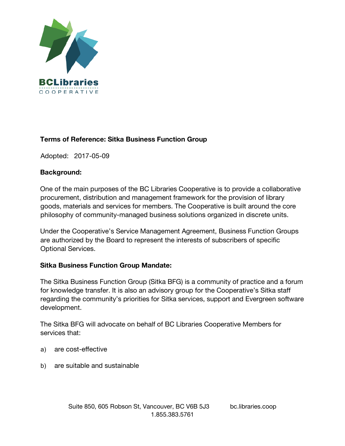

# **Terms of Reference: Sitka Business Function Group**

Adopted: 2017-05-09

#### **Background:**

One of the main purposes of the BC Libraries Cooperative is to provide a collaborative procurement, distribution and management framework for the provision of library goods, materials and services for members. The Cooperative is built around the core philosophy of community-managed business solutions organized in discrete units.

Under the Cooperative's Service Management Agreement, Business Function Groups are authorized by the Board to represent the interests of subscribers of specific Optional Services.

## **Sitka Business Function Group Mandate:**

The Sitka Business Function Group (Sitka BFG) is a community of practice and a forum for knowledge transfer. It is also an advisory group for the Cooperative's Sitka staff regarding the community's priorities for Sitka services, support and Evergreen software development.

The Sitka BFG will advocate on behalf of BC Libraries Cooperative Members for services that:

- a) are cost-effective
- b) are suitable and sustainable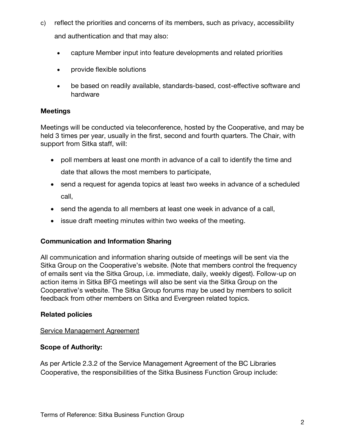- c) reflect the priorities and concerns of its members, such as privacy, accessibility and authentication and that may also:
	- capture Member input into feature developments and related priorities
	- provide flexible solutions
	- be based on readily available, standards-based, cost-effective software and hardware

## **Meetings**

Meetings will be conducted via teleconference, hosted by the Cooperative, and may be held 3 times per year, usually in the first, second and fourth quarters. The Chair, with support from Sitka staff, will:

- poll members at least one month in advance of a call to identify the time and date that allows the most members to participate,
- send a request for agenda topics at least two weeks in advance of a scheduled call,
- send the agenda to all members at least one week in advance of a call,
- issue draft meeting minutes within two weeks of the meeting.

## **Communication and Information Sharing**

All communication and information sharing outside of meetings will be sent via the Sitka Group on the Cooperative's website. (Note that members control the frequency of emails sent via the Sitka Group, i.e. immediate, daily, weekly digest). Follow-up on action items in Sitka BFG meetings will also be sent via the Sitka Group on the Cooperative's website. The Sitka Group forums may be used by members to solicit feedback from other members on Sitka and Evergreen related topics.

## **Related policies**

#### Service Management Agreement

## **Scope of Authority:**

As per Article 2.3.2 of the Service Management Agreement of the BC Libraries Cooperative, the responsibilities of the Sitka Business Function Group include: